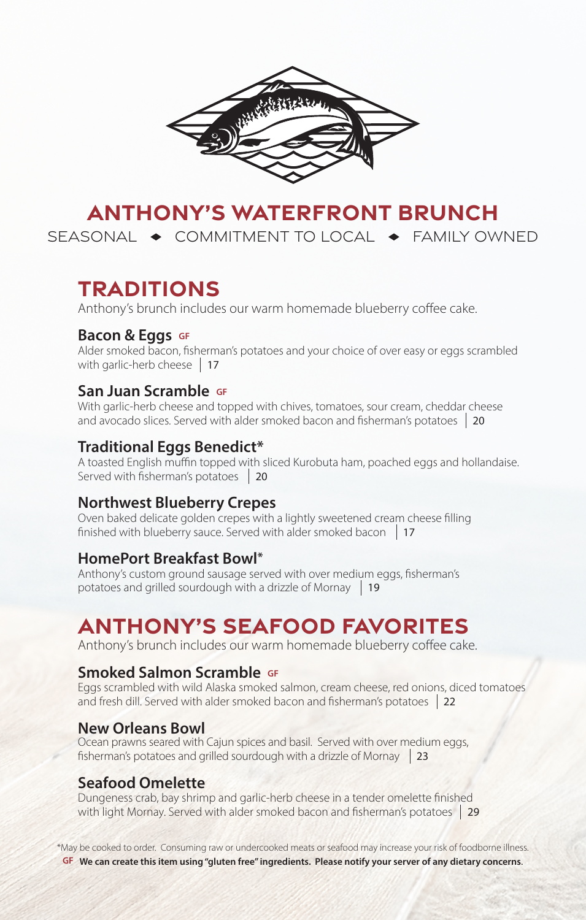

# **ANTHONY'S WATERFRONT BRUNCH**

SEASONAL  $\rightarrow$  COMMITMENT TO LOCAL  $\rightarrow$  FAMILY OWNED

## **TRADITIONS**

Anthony's brunch includes our warm homemade blueberry coffee cake.

#### **Bacon & Eggs** GF

Alder smoked bacon, fisherman's potatoes and your choice of over easy or eggs scrambled with garlic-herb cheese | 17

### **San Juan Scramble GF**

With garlic-herb cheese and topped with chives, tomatoes, sour cream, cheddar cheese and avocado slices. Served with alder smoked bacon and fisherman's potatoes 20

### **Traditional Eggs Benedict\***

A toasted English muffin topped with sliced Kurobuta ham, poached eggs and hollandaise. Served with fisherman's potatoes 20

#### **Northwest Blueberry Crepes**

Oven baked delicate golden crepes with a lightly sweetened cream cheese filling finished with blueberry sauce. Served with alder smoked bacon 17

#### **HomePort Breakfast Bowl\***

Anthony's custom ground sausage served with over medium eggs, fisherman's potatoes and grilled sourdough with a drizzle of Mornay 19

# **ANTHONY'S SEAFOOD FAVORITES**

Anthony's brunch includes our warm homemade blueberry coffee cake.

#### **Smoked Salmon Scramble GF**

Eggs scrambled with wild Alaska smoked salmon, cream cheese, red onions, diced tomatoes and fresh dill. Served with alder smoked bacon and fisherman's potatoes 22

#### **New Orleans Bowl**

Ocean prawns seared with Cajun spices and basil. Served with over medium eggs, fisherman's potatoes and grilled sourdough with a drizzle of Mornay 23

## **Seafood Omelette**

Dungeness crab, bay shrimp and garlic-herb cheese in a tender omelette finished with light Mornay. Served with alder smoked bacon and fisherman's potatoes | 29

\*May be cooked to order. Consuming raw or undercooked meats or seafood may increase your risk of foodborne illness. **GF We can create this item using "gluten free" ingredients. Please notify your server of any dietary concerns**.